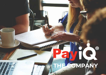## ICI  $\mathbf{C}$  $\overline{\phantom{a}}$ **COMPANY**

 $\bigcirc$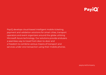## **PayiQ**

PayiQ develops cloud-based intelligent mobile ticketing, payment and validation solutions for smart cities, transport operators and event organizers around the globe utilizing Microsoft Azure technology. Our solutions provide endusers a seamless way to travel from door-to-door and a freedom to combine various means of transport and services under one transaction using their mobile phones.

payiq.net/company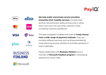



**We help public and private service providers streamline their mobility services**, increase their services' attractiveness, safety and security in using them, and lower the cost of fair collection while increasing customer satisfaction.

The open ecosystem enables end-users to **freely choose from a wide range of payment methods**. They can combine different services, such as those provided by route planning services, shared car and bike operators or event organizers.

PayiQ collaborates with **Business Finland** and is a member of **Microsoft CityNext program** in developing solutions for smart cities.

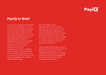## **PayiQ®**

## **PayiQ in Brief**

Smart future needs smart ticketing. The world's population is moving into cities, and mobility and access are keys to functioning metropolitan areas. Smart traffic functions only if also ticketing is smart. In the ever-digitizing world live events keep growing in size and in significance to everyone involved. To stay in the game, both the transport sector and event organizers must serve contemporary clients in modern ways: through mobile, seamlessly and immediately. PayiQ's mission is to enable this with its easy to use, safe, cloud based multi-module ticketing technology.

Our technology, with a sophisticated fraud prevention algorithm at its core, is built to be extremely flexible regarding use cases and payment options, is easy to install and pleasant to use. The technology is built to scale to enable our vision: to become the number one mobile ticketing solutions provider in the world.

Today PayiQ's technology is used in practically all major Finnish cities. To become an active player in the estimated 10,000 billion Euro global mobility market PayiQ established an office and found new team members in Stockholm.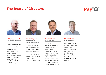### **The Board of Directors**





**Mikko Suonenlahti Chairman of the Board**

Over 35 years' experience in international startups in various positions from investor to CEO. At present serves on the boards of venture capital backed businesses an funds in Amsterdam, Helsinki, London and Tallinn with sales of over € 100 M and over 1,000 employees.



**Tuomo Parjanen Board Member, Executive Consultant**

Top executive positions over 25 years at US based software company Bentley Systems. He founded Opti Incon, which was successfully sold to Bentley Systems in 1995. Since that he has had several international executive roles.



#### **Claes de Geer Board Member**

Claes De Geer is an experienced entrepreneur and business angel investor with a demonstrated history of working in the IT, Telecom and Financial services industries. He has a background from Ericsson in various leading positions of IT and Internet Security Company Parallel Systems.



#### **Claes Tellman Board member**

Claes Tellman has a long experience from various communication and business roles in leading positions in Coca-Cola, Svenska Spel and Net Entertainment. Claes has worked with online payments at Klarna and WyWallet.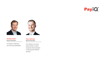



**Markku Soini Board Member**

Co-founder of PayiQ and one of the key shareholders.



#### **Tatu Vehmas Board Member**

Tatu Vehmas is an active board member in several companies which specialize in financing and industrial activities.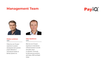### **Management Team**





#### **Pirkka Lankinen CEO**

Pirkka has over 20 years' experience in product development and customer project deliveries in international markets at Bentley Systems Inc.



#### **Mika Rytkönen CPO**

Mika has over 20 years' experience in international software business in private and public sector co-operation. Previously he held executive positions with Nokia, HERE and MaaS Global.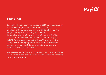## **PayiQ**

### **Funding**

Soon after the company was started, in 2014 it was approved to the funding programs of Business Finland, state run development agency for startups and SMEs in Finland. The program comprises of funding and advisory for developing innovations and international growth. After successful completion of the first 2 development projects, in 2017 PayiQ was selected to the 3-year Young Innovative Companies funding program to scale up the business and to enter new markets. This has enabled the company to establish an office in Stockholm.

We believe that the future is in mobile ticketing, and for further international expansion we will be looking to raise new funding during the next years.